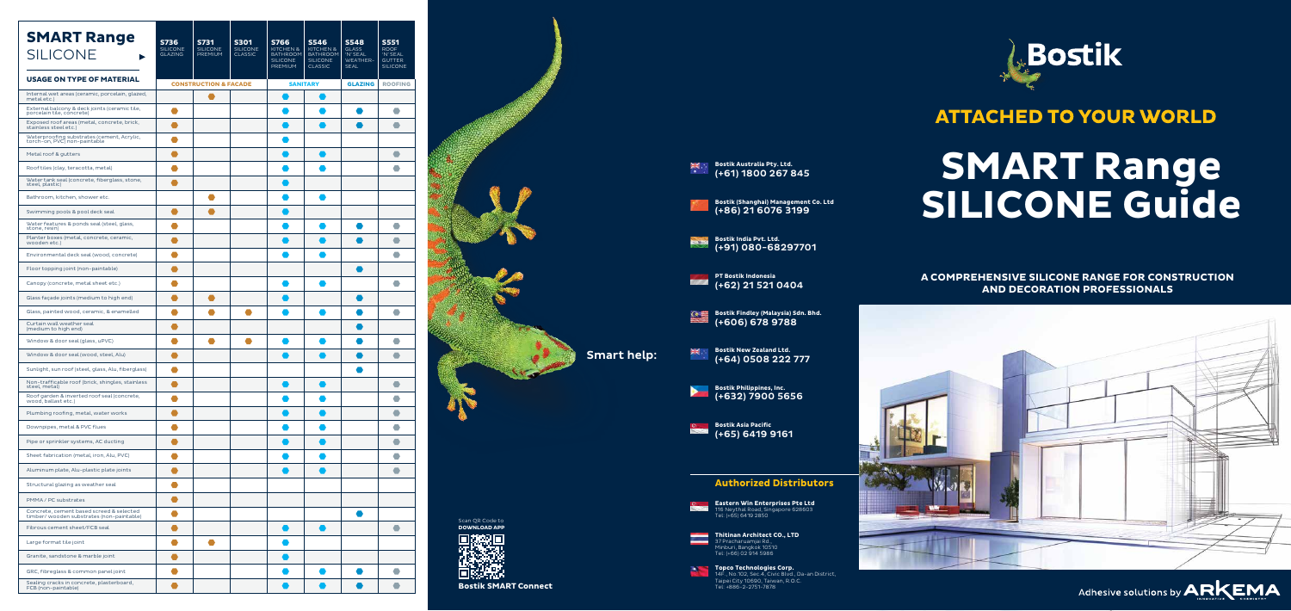37 Pracharuamjai Rd., Minburi, Bangkok 10510 Tel: (+66) 02 914 5986

**Thitinan Architect CO., LTD** Tel: (+65) 6419 2850

> **Topco Technologies Corp.** 14F., No.102, Sec.4, Civic Blvd., Da-an District, Taipei City 10690, Taiwan, R.O.C. Tel: +886-2-2751-7878

**Eastern Win Enterprises Pte Ltd** 116 Neythal Road, Singapore 628603

**Bostik New Zealand Ltd.** (+64) 0508 222 777



### **Authorized Distributors**

**Bostik Asia Pacific** (+65) 6419 9161

**Bostik Findley (Malaysia) Sdn. Bhd.** (+606) 678 9788

**Bostik Australia Pty. Ltd.** (+61) 1800 267 845

**PT Bostik Indonesia** (+62) 21 521 0404

**Bostik India Pvt. Ltd.** (+91) 080-68297701



**Bostik (Shanghai) Management Co. Ltd** (+86) 21 6076 3199

**Bostik Philippines, Inc.** (+632) 7900 5656



Smart help:



### **ATTACHED TO YOUR WORLD**

# **SMART Range SILICONE Guide**

**A COMPREHENSIVE SILICONE RANGE FOR CONSTRUCTION AND DECORATION PROFESSIONALS**





| <b>SMART Range</b><br><b>SILICONE</b>                                                | <b>S736</b><br><b>SILICONE</b><br><b>GLAZING</b> | <b>S731</b><br><b>SILICONE</b><br>PREMIUM | <b>S301</b><br><b>SILICONE</b><br><b>CLASSIC</b> | <b>S766</b><br>KITCHEN &<br><b>BATHROOM</b><br><b>SILICONE</b><br><b>PREMIUM</b> | <b>S546</b><br>KITCHEN &<br><b>BATHROOM</b><br><b>SILICONE</b><br><b>CLASSIC</b> | <b>S548</b><br><b>GLASS</b><br>'N' SEAL<br>WEATHER-<br><b>SEAL</b> | <b>S551</b><br><b>ROOF</b><br>'N' SEAL<br><b>GUTTER</b><br><b>SILICONE</b> |                                        |
|--------------------------------------------------------------------------------------|--------------------------------------------------|-------------------------------------------|--------------------------------------------------|----------------------------------------------------------------------------------|----------------------------------------------------------------------------------|--------------------------------------------------------------------|----------------------------------------------------------------------------|----------------------------------------|
| <b>USAGE ON TYPE OF MATERIAL</b>                                                     | <b>CONSTRUCTION &amp; FACADE</b>                 |                                           | <b>SANITARY</b>                                  |                                                                                  | <b>ROOFING</b><br><b>GLAZING</b>                                                 |                                                                    |                                                                            |                                        |
| Internal wet areas (ceramic, porcelain, glazed,<br>metal etc.)                       |                                                  |                                           |                                                  |                                                                                  |                                                                                  |                                                                    |                                                                            |                                        |
| External balcony & deck joints (ceramic tile,<br>porcelain tile, concrete)           | $\bullet$                                        |                                           |                                                  |                                                                                  |                                                                                  | $\bullet$                                                          | $\bullet$                                                                  |                                        |
| Exposed roof areas (metal, concrete, brick,<br>stainless steel etc.)                 | ●                                                |                                           |                                                  |                                                                                  |                                                                                  |                                                                    | $\bullet$                                                                  |                                        |
| Waterproofing substrates (cement, Acrylic,<br>torch-on, PVC) non-paintable           | $\bullet$                                        |                                           |                                                  |                                                                                  |                                                                                  |                                                                    |                                                                            |                                        |
| Metal roof & gutters                                                                 | ●                                                |                                           |                                                  |                                                                                  |                                                                                  |                                                                    | $\bullet$                                                                  |                                        |
| Roof tiles (clay, teracotta, metal)                                                  | 0                                                |                                           |                                                  |                                                                                  |                                                                                  |                                                                    | $\bullet$                                                                  |                                        |
| Water tank seal (concrete, fiberglass, stone,<br>steel, plastic)                     | $\bullet$                                        |                                           |                                                  |                                                                                  |                                                                                  |                                                                    |                                                                            |                                        |
| Bathroom, kitchen, shower etc.                                                       |                                                  |                                           |                                                  |                                                                                  |                                                                                  |                                                                    |                                                                            |                                        |
| Swimming pools & pool deck seal                                                      | ●                                                | $\bullet$                                 |                                                  |                                                                                  |                                                                                  |                                                                    |                                                                            |                                        |
| Water features & ponds seal (steel, glass,<br>stone, resin)                          | $\bullet$                                        |                                           |                                                  |                                                                                  |                                                                                  | $\bullet$                                                          | $\bullet$                                                                  |                                        |
| Planter boxes (metal, concrete, ceramic,<br>wooden etc.)                             | $\bullet$                                        |                                           |                                                  |                                                                                  |                                                                                  | $\qquad \qquad$                                                    | $\bullet$                                                                  |                                        |
| Environmental deck seal (wood, concrete)                                             | $\bullet$                                        |                                           |                                                  |                                                                                  |                                                                                  |                                                                    | $\bullet$                                                                  |                                        |
| Floor topping joint (non-paintable)                                                  | $\bullet$                                        |                                           |                                                  |                                                                                  |                                                                                  | Œ                                                                  |                                                                            |                                        |
| Canopy (concrete, metal sheet etc.)                                                  |                                                  |                                           |                                                  |                                                                                  |                                                                                  |                                                                    | $\bullet$                                                                  |                                        |
| Glass façade joints (medium to high end)                                             | ●                                                | $\bullet$                                 |                                                  |                                                                                  |                                                                                  |                                                                    |                                                                            |                                        |
| Glass, painted wood, ceramic, & enamelled                                            | $\bullet$                                        | ●                                         |                                                  |                                                                                  |                                                                                  |                                                                    | $\bullet$                                                                  |                                        |
| Curtain wall weather seal<br>(medium to high end)                                    |                                                  |                                           |                                                  |                                                                                  |                                                                                  |                                                                    |                                                                            |                                        |
| Window & door seal (glass, uPVC)                                                     |                                                  |                                           |                                                  |                                                                                  |                                                                                  |                                                                    |                                                                            |                                        |
| Window & door seal (wood, steel, Alu)                                                | ●                                                |                                           |                                                  |                                                                                  |                                                                                  |                                                                    | $\bullet$                                                                  |                                        |
| Sunlight, sun roof (steel, glass, Alu, fiberglass)                                   | $\bullet$                                        |                                           |                                                  |                                                                                  |                                                                                  |                                                                    |                                                                            |                                        |
| Non-trafficable roof (brick, shingles, stainless<br>steel, metal)                    | $\bullet$                                        |                                           |                                                  |                                                                                  |                                                                                  |                                                                    | $\bullet$                                                                  |                                        |
| Roof garden & inverted roof seal (concrete,<br>wood, ballast etc.)                   |                                                  |                                           |                                                  |                                                                                  |                                                                                  |                                                                    | $\bullet$                                                                  |                                        |
| Plumbing roofing, metal, water works                                                 | $\bullet$                                        |                                           |                                                  |                                                                                  |                                                                                  |                                                                    | $\bullet$                                                                  |                                        |
| Downpipes, metal & PVC flues                                                         | $\bullet$                                        |                                           |                                                  |                                                                                  |                                                                                  |                                                                    | $\bullet$                                                                  |                                        |
| Pipe or sprinkler systems, AC ducting                                                | $\bullet$                                        |                                           |                                                  |                                                                                  |                                                                                  |                                                                    | $\bullet$                                                                  |                                        |
| Sheet fabrication (metal, iron, Alu, PVC)                                            | $\bullet$                                        |                                           |                                                  |                                                                                  |                                                                                  |                                                                    | $\bullet$                                                                  |                                        |
| Aluminum plate, Alu-plastic plate joints                                             | $\bullet$                                        |                                           |                                                  |                                                                                  |                                                                                  |                                                                    | $\bullet$                                                                  |                                        |
| Structural glazing as weather seal                                                   | $\bullet$                                        |                                           |                                                  |                                                                                  |                                                                                  |                                                                    |                                                                            |                                        |
| PMMA / PC substrates                                                                 | $\bullet$                                        |                                           |                                                  |                                                                                  |                                                                                  |                                                                    |                                                                            |                                        |
| Concrete, cement based screed & selected<br>timber/wooden substrates (non-paintable) | $\bullet$                                        |                                           |                                                  |                                                                                  |                                                                                  |                                                                    |                                                                            |                                        |
| Fibrous cement sheet/FCB seal                                                        | $\bullet$                                        |                                           |                                                  |                                                                                  |                                                                                  |                                                                    | $\bullet$                                                                  | Scan QR Code to<br><b>DOWNLOAD APP</b> |
| Large format tile joint                                                              | ●                                                |                                           |                                                  |                                                                                  |                                                                                  |                                                                    |                                                                            |                                        |
| Granite, sandstone & marble joint                                                    | ●                                                |                                           |                                                  |                                                                                  |                                                                                  |                                                                    |                                                                            |                                        |
| GRC, fibreglass & common panel joint                                                 | $\bullet$                                        |                                           |                                                  |                                                                                  |                                                                                  |                                                                    | $\bullet$                                                                  |                                        |
| Sealing cracks in concrete, plasterboard,<br>FCB (non-paintable)                     |                                                  |                                           |                                                  |                                                                                  |                                                                                  |                                                                    |                                                                            | <b>Bostik SMART Connect</b>            |